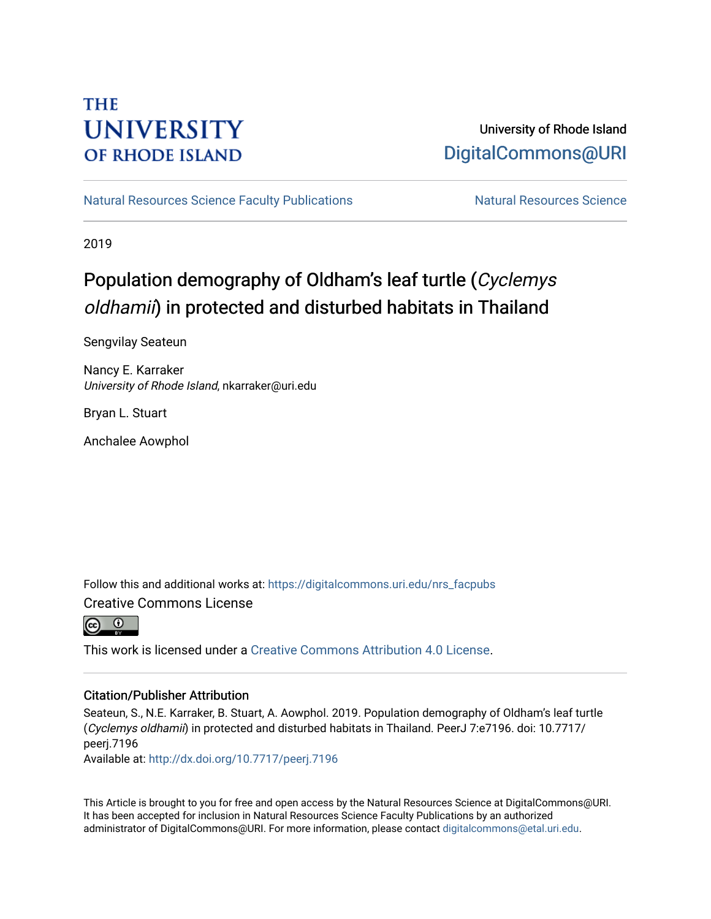# **THE UNIVERSITY OF RHODE ISLAND**

# University of Rhode Island [DigitalCommons@URI](https://digitalcommons.uri.edu/)

[Natural Resources Science Faculty Publications](https://digitalcommons.uri.edu/nrs_facpubs) Natural Resources Science

2019

# Population demography of Oldham's leaf turtle (Cyclemys oldhamii) in protected and disturbed habitats in Thailand

Sengvilay Seateun

Nancy E. Karraker University of Rhode Island, nkarraker@uri.edu

Bryan L. Stuart

Anchalee Aowphol

Follow this and additional works at: [https://digitalcommons.uri.edu/nrs\\_facpubs](https://digitalcommons.uri.edu/nrs_facpubs?utm_source=digitalcommons.uri.edu%2Fnrs_facpubs%2F138&utm_medium=PDF&utm_campaign=PDFCoverPages)  Creative Commons License



This work is licensed under a [Creative Commons Attribution 4.0 License](https://creativecommons.org/licenses/by/4.0/).

#### Citation/Publisher Attribution

Seateun, S., N.E. Karraker, B. Stuart, A. Aowphol. 2019. Population demography of Oldham's leaf turtle (Cyclemys oldhamii) in protected and disturbed habitats in Thailand. PeerJ 7:e7196. doi: 10.7717/ peerj.7196

Available at:<http://dx.doi.org/10.7717/peerj.7196>

This Article is brought to you for free and open access by the Natural Resources Science at DigitalCommons@URI. It has been accepted for inclusion in Natural Resources Science Faculty Publications by an authorized administrator of DigitalCommons@URI. For more information, please contact [digitalcommons@etal.uri.edu.](mailto:digitalcommons@etal.uri.edu)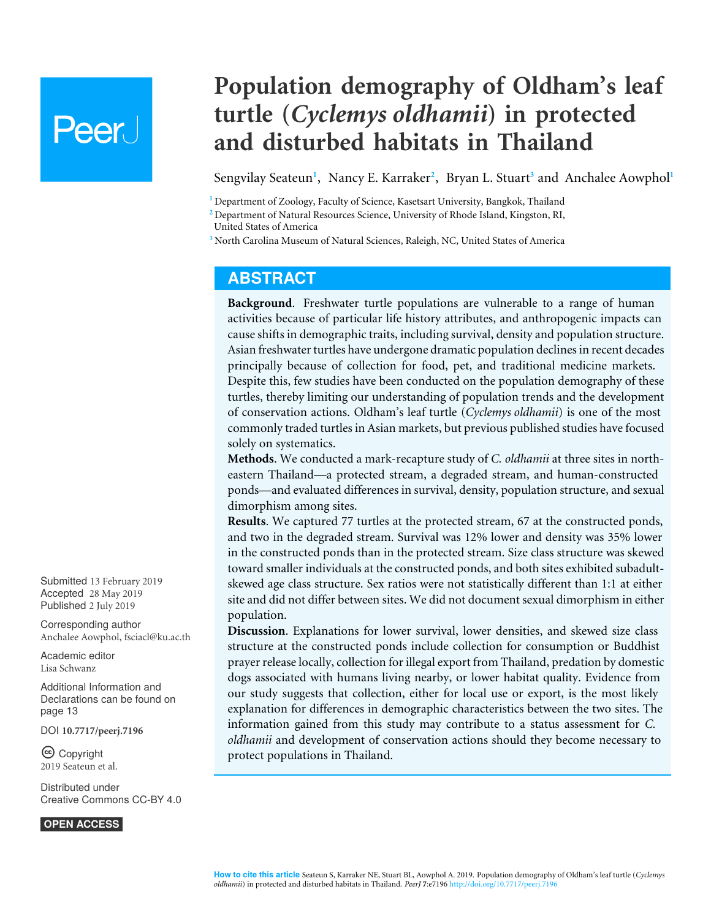# **Peer**

# **Population demography of Oldham's leaf turtle (***Cyclemys oldhamii***) in protected and disturbed habitats in Thailand**

<span id="page-1-6"></span><span id="page-1-5"></span><span id="page-1-3"></span>Sengvilay Seateun<sup>[1](#page-1-0)</sup>, Nancy E. Karraker<sup>[2](#page-1-1)</sup>, Bryan L. Stuart<sup>[3](#page-1-2)</sup> and Anchalee Aowphol<sup>1</sup>

<span id="page-1-0"></span>**<sup>1</sup>** Department of Zoology, Faculty of Science, Kasetsart University, Bangkok, Thailand

<span id="page-1-1"></span>**<sup>2</sup>** Department of Natural Resources Science, University of Rhode Island, Kingston, RI,

United States of America

<span id="page-1-2"></span>**<sup>3</sup>** North Carolina Museum of Natural Sciences, Raleigh, NC, United States of America

#### <span id="page-1-4"></span>**ABSTRACT**

**Background**. Freshwater turtle populations are vulnerable to a range of human activities because of particular life history attributes, and anthropogenic impacts can cause shifts in demographic traits, including survival, density and population structure. Asian freshwater turtles have undergone dramatic population declines in recent decades principally because of collection for food, pet, and traditional medicine markets. Despite this, few studies have been conducted on the population demography of these turtles, thereby limiting our understanding of population trends and the development of conservation actions. Oldham's leaf turtle (*Cyclemys oldhamii*) is one of the most commonly traded turtles in Asian markets, but previous published studies have focused solely on systematics.

**Methods**. We conducted a mark-recapture study of *C. oldhamii* at three sites in northeastern Thailand—a protected stream, a degraded stream, and human-constructed ponds—and evaluated differences in survival, density, population structure, and sexual dimorphism among sites.

**Results**. We captured 77 turtles at the protected stream, 67 at the constructed ponds, and two in the degraded stream. Survival was 12% lower and density was 35% lower in the constructed ponds than in the protected stream. Size class structure was skewed toward smaller individuals at the constructed ponds, and both sites exhibited subadultskewed age class structure. Sex ratios were not statistically different than 1:1 at either site and did not differ between sites. We did not document sexual dimorphism in either population.

**Discussion**. Explanations for lower survival, lower densities, and skewed size class structure at the constructed ponds include collection for consumption or Buddhist prayer release locally, collection for illegal export from Thailand, predation by domestic dogs associated with humans living nearby, or lower habitat quality. Evidence from our study suggests that collection, either for local use or export, is the most likely explanation for differences in demographic characteristics between the two sites. The information gained from this study may contribute to a status assessment for *C. oldhamii* and development of conservation actions should they become necessary to protect populations in Thailand.

Submitted 13 February 2019 Accepted 28 May 2019 Published 2 July 2019

Corresponding author Anchalee Aowphol, [fsciacl@ku.ac.th](mailto:fsciacl@ku.ac.th)

[Academic editor](https://peerj.com/academic-boards/editors/) [Lisa Schwanz](https://peerj.com/academic-boards/editors/)

[Additional Information and](#page-13-0) [Declarations can be found on](#page-13-0) [page 13](#page-13-0)

DOI **[10.7717/peerj.7196](http://dx.doi.org/10.7717/peerj.7196)**

Ccopyright 2019 Seateun et al.

[Distributed under](http://creativecommons.org/licenses/by/4.0/) [Creative Commons CC-BY 4.0](http://creativecommons.org/licenses/by/4.0/)

**OPEN ACCESS**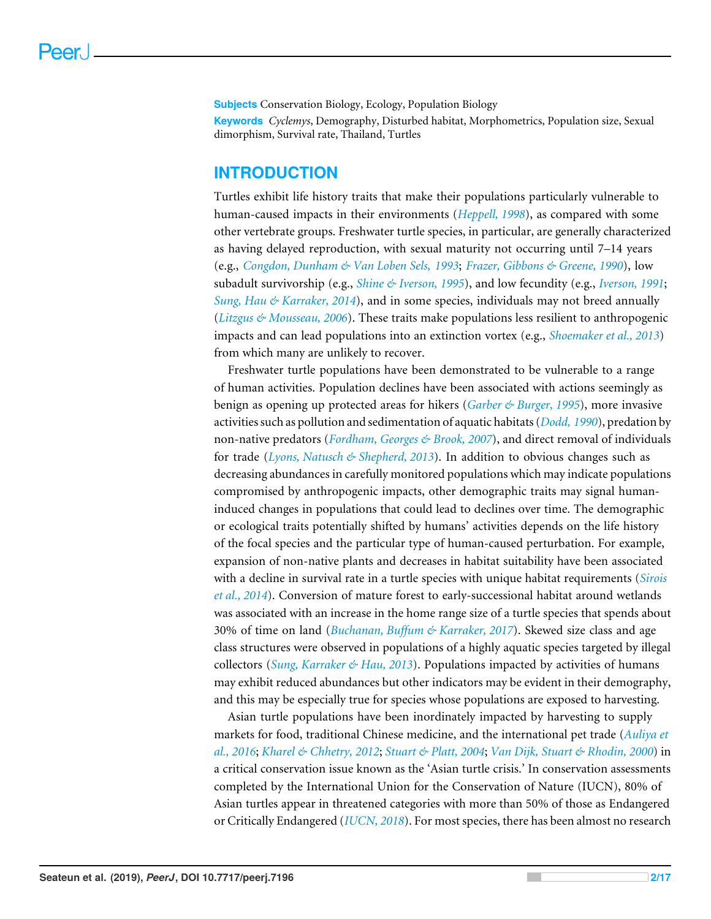**Subjects** Conservation Biology, Ecology, Population Biology **Keywords** *Cyclemys*, Demography, Disturbed habitat, Morphometrics, Population size, Sexual dimorphism, Survival rate, Thailand, Turtles

#### **INTRODUCTION**

Turtles exhibit life history traits that make their populations particularly vulnerable to human-caused impacts in their environments (*[Heppell, 1998](#page-15-0)*), as compared with some other vertebrate groups. Freshwater turtle species, in particular, are generally characterized as having delayed reproduction, with sexual maturity not occurring until 7–14 years (e.g., *[Congdon, Dunham & Van Loben Sels,](#page-15-1) [1993](#page-15-1)*; *[Frazer, Gibbons & Greene, 1990](#page-15-2)*), low subadult survivorship (e.g., *[Shine & Iverson, 1995](#page-17-0)*), and low fecundity (e.g., *[Iverson, 1991](#page-16-0)*; *[Sung, Hau & Karraker, 2014](#page-17-1)*), and in some species, individuals may not breed annually (*[Litzgus & Mousseau, 2006](#page-16-1)*). These traits make populations less resilient to anthropogenic impacts and can lead populations into an extinction vortex (e.g., *[Shoemaker et al., 2013](#page-17-2)*) from which many are unlikely to recover.

Freshwater turtle populations have been demonstrated to be vulnerable to a range of human activities. Population declines have been associated with actions seemingly as benign as opening up protected areas for hikers (*[Garber & Burger, 1995](#page-15-3)*), more invasive activities such as pollution and sedimentation of aquatic habitats (*[Dodd, 1990](#page-15-4)*), predation by non-native predators (*[Fordham, Georges & Brook, 2007](#page-15-5)*), and direct removal of individuals for trade (*[Lyons, Natusch & Shepherd, 2013](#page-16-2)*). In addition to obvious changes such as decreasing abundances in carefully monitored populations which may indicate populations compromised by anthropogenic impacts, other demographic traits may signal humaninduced changes in populations that could lead to declines over time. The demographic or ecological traits potentially shifted by humans' activities depends on the life history of the focal species and the particular type of human-caused perturbation. For example, expansion of non-native plants and decreases in habitat suitability have been associated with a decline in survival rate in a turtle species with unique habitat requirements (*[Sirois](#page-17-3) [et al., 2014](#page-17-3)*). Conversion of mature forest to early-successional habitat around wetlands was associated with an increase in the home range size of a turtle species that spends about 30% of time on land (*[Buchanan, Buffum & Karraker, 2017](#page-14-0)*). Skewed size class and age class structures were observed in populations of a highly aquatic species targeted by illegal collectors (*[Sung, Karraker & Hau, 2013](#page-17-4)*). Populations impacted by activities of humans may exhibit reduced abundances but other indicators may be evident in their demography, and this may be especially true for species whose populations are exposed to harvesting.

Asian turtle populations have been inordinately impacted by harvesting to supply markets for food, traditional Chinese medicine, and the international pet trade (*[Auliya et](#page-14-1) [al., 2016](#page-14-1)*; *[Kharel & Chhetry, 2012](#page-16-3)*; *[Stuart & Platt, 2004](#page-17-5)*; *[Van Dijk, Stuart & Rhodin,](#page-17-6) [2000](#page-17-6)*) in a critical conservation issue known as the 'Asian turtle crisis.' In conservation assessments completed by the International Union for the Conservation of Nature (IUCN), 80% of Asian turtles appear in threatened categories with more than 50% of those as Endangered or Critically Endangered (*[IUCN,](#page-16-4) [2018](#page-16-4)*). For most species, there has been almost no research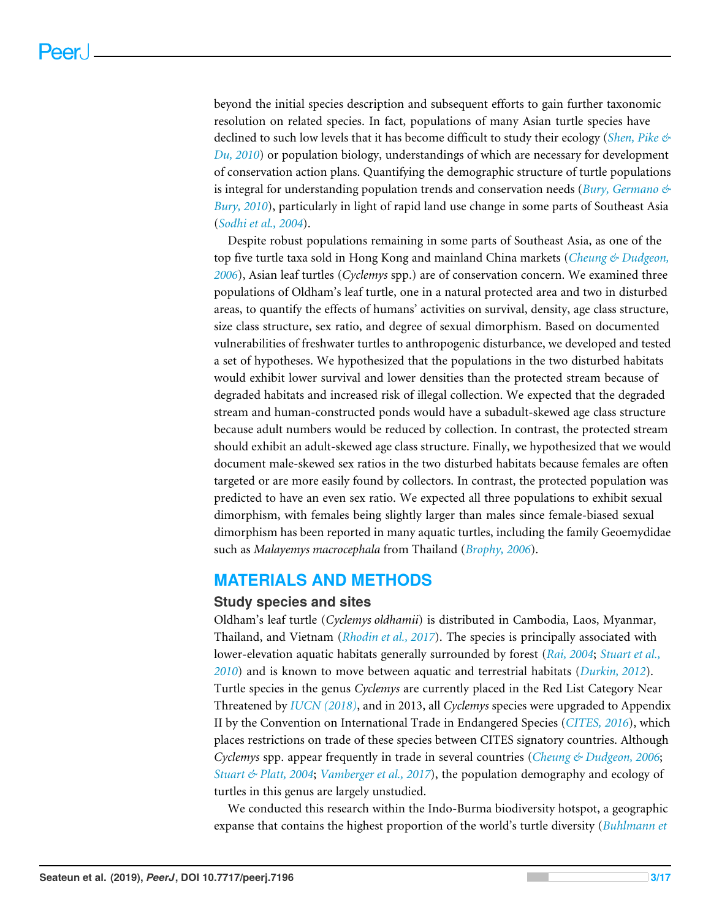beyond the initial species description and subsequent efforts to gain further taxonomic resolution on related species. In fact, populations of many Asian turtle species have declined to such low levels that it has become difficult to study their ecology (*[Shen, Pike &](#page-17-7) [Du, 2010](#page-17-7)*) or population biology, understandings of which are necessary for development of conservation action plans. Quantifying the demographic structure of turtle populations is integral for understanding population trends and conservation needs (*[Bury, Germano &](#page-15-6) [Bury, 2010](#page-15-6)*), particularly in light of rapid land use change in some parts of Southeast Asia (*[Sodhi et al., 2004](#page-17-8)*).

Despite robust populations remaining in some parts of Southeast Asia, as one of the top five turtle taxa sold in Hong Kong and mainland China markets (*[Cheung & Dudgeon,](#page-15-7) [2006](#page-15-7)*), Asian leaf turtles (*Cyclemys* spp.) are of conservation concern. We examined three populations of Oldham's leaf turtle, one in a natural protected area and two in disturbed areas, to quantify the effects of humans' activities on survival, density, age class structure, size class structure, sex ratio, and degree of sexual dimorphism. Based on documented vulnerabilities of freshwater turtles to anthropogenic disturbance, we developed and tested a set of hypotheses. We hypothesized that the populations in the two disturbed habitats would exhibit lower survival and lower densities than the protected stream because of degraded habitats and increased risk of illegal collection. We expected that the degraded stream and human-constructed ponds would have a subadult-skewed age class structure because adult numbers would be reduced by collection. In contrast, the protected stream should exhibit an adult-skewed age class structure. Finally, we hypothesized that we would document male-skewed sex ratios in the two disturbed habitats because females are often targeted or are more easily found by collectors. In contrast, the protected population was predicted to have an even sex ratio. We expected all three populations to exhibit sexual dimorphism, with females being slightly larger than males since female-biased sexual dimorphism has been reported in many aquatic turtles, including the family Geoemydidae such as *Malayemys macrocephala* from Thailand (*[Brophy, 2006](#page-14-2)*).

#### **MATERIALS AND METHODS**

#### **Study species and sites**

Oldham's leaf turtle (*Cyclemys oldhamii*) is distributed in Cambodia, Laos, Myanmar, Thailand, and Vietnam (*[Rhodin et al., 2017](#page-16-5)*). The species is principally associated with lower-elevation aquatic habitats generally surrounded by forest (*[Rai, 2004](#page-16-6)*; *[Stuart et al.,](#page-17-9) [2010](#page-17-9)*) and is known to move between aquatic and terrestrial habitats (*[Durkin, 2012](#page-15-8)*). Turtle species in the genus *Cyclemys* are currently placed in the Red List Category Near Threatened by *[IUCN](#page-16-4) [\(2018\)](#page-16-4)*, and in 2013, all *Cyclemys* species were upgraded to Appendix II by the Convention on International Trade in Endangered Species (*[CITES,](#page-15-9) [2016](#page-15-9)*), which places restrictions on trade of these species between CITES signatory countries. Although *Cyclemys* spp. appear frequently in trade in several countries (*[Cheung & Dudgeon, 2006](#page-15-7)*; *[Stuart & Platt, 2004](#page-17-5)*; *[Vamberger et al., 2017](#page-17-10)*), the population demography and ecology of turtles in this genus are largely unstudied.

We conducted this research within the Indo-Burma biodiversity hotspot, a geographic expanse that contains the highest proportion of the world's turtle diversity (*[Buhlmann et](#page-14-3)*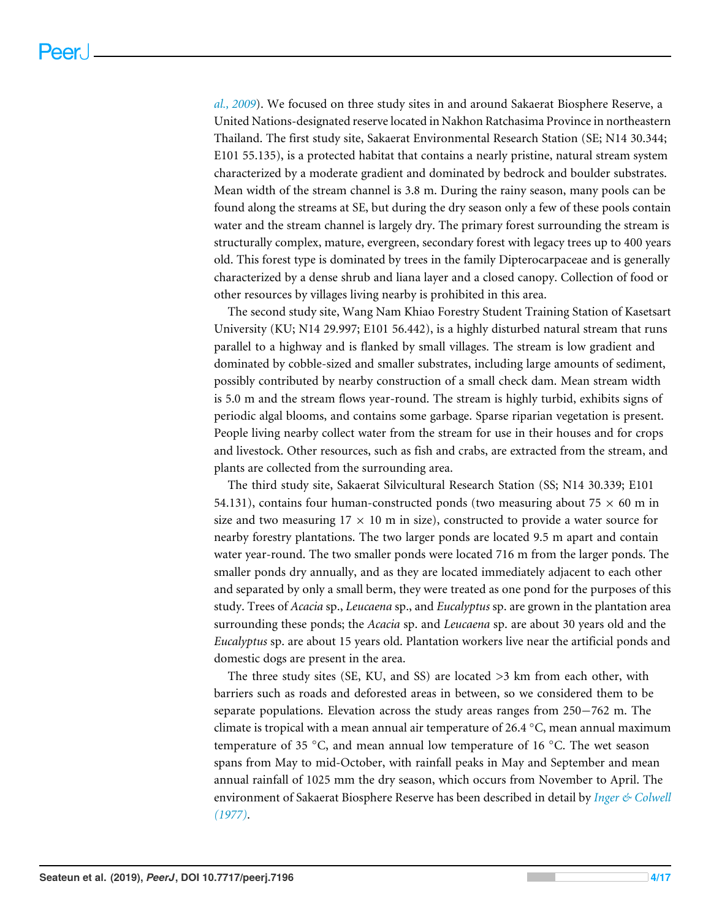*[al., 2009](#page-14-3)*). We focused on three study sites in and around Sakaerat Biosphere Reserve, a United Nations-designated reserve located in Nakhon Ratchasima Province in northeastern Thailand. The first study site, Sakaerat Environmental Research Station (SE; N14 30.344; E101 55.135), is a protected habitat that contains a nearly pristine, natural stream system characterized by a moderate gradient and dominated by bedrock and boulder substrates. Mean width of the stream channel is 3.8 m. During the rainy season, many pools can be found along the streams at SE, but during the dry season only a few of these pools contain water and the stream channel is largely dry. The primary forest surrounding the stream is structurally complex, mature, evergreen, secondary forest with legacy trees up to 400 years old. This forest type is dominated by trees in the family Dipterocarpaceae and is generally characterized by a dense shrub and liana layer and a closed canopy. Collection of food or other resources by villages living nearby is prohibited in this area.

The second study site, Wang Nam Khiao Forestry Student Training Station of Kasetsart University (KU; N14 29.997; E101 56.442), is a highly disturbed natural stream that runs parallel to a highway and is flanked by small villages. The stream is low gradient and dominated by cobble-sized and smaller substrates, including large amounts of sediment, possibly contributed by nearby construction of a small check dam. Mean stream width is 5.0 m and the stream flows year-round. The stream is highly turbid, exhibits signs of periodic algal blooms, and contains some garbage. Sparse riparian vegetation is present. People living nearby collect water from the stream for use in their houses and for crops and livestock. Other resources, such as fish and crabs, are extracted from the stream, and plants are collected from the surrounding area.

The third study site, Sakaerat Silvicultural Research Station (SS; N14 30.339; E101 54.131), contains four human-constructed ponds (two measuring about  $75 \times 60$  m in size and two measuring  $17 \times 10$  m in size), constructed to provide a water source for nearby forestry plantations. The two larger ponds are located 9.5 m apart and contain water year-round. The two smaller ponds were located 716 m from the larger ponds. The smaller ponds dry annually, and as they are located immediately adjacent to each other and separated by only a small berm, they were treated as one pond for the purposes of this study. Trees of *Acacia* sp., *Leucaena* sp., and *Eucalyptus* sp. are grown in the plantation area surrounding these ponds; the *Acacia* sp. and *Leucaena* sp. are about 30 years old and the *Eucalyptus* sp. are about 15 years old. Plantation workers live near the artificial ponds and domestic dogs are present in the area.

The three study sites (SE, KU, and SS) are located >3 km from each other, with barriers such as roads and deforested areas in between, so we considered them to be separate populations. Elevation across the study areas ranges from 250−762 m. The climate is tropical with a mean annual air temperature of 26.4  $\degree$ C, mean annual maximum temperature of 35 ◦C, and mean annual low temperature of 16 ◦C. The wet season spans from May to mid-October, with rainfall peaks in May and September and mean annual rainfall of 1025 mm the dry season, which occurs from November to April. The environment of Sakaerat Biosphere Reserve has been described in detail by *[Inger & Colwell](#page-15-10) [\(1977\)](#page-15-10)*.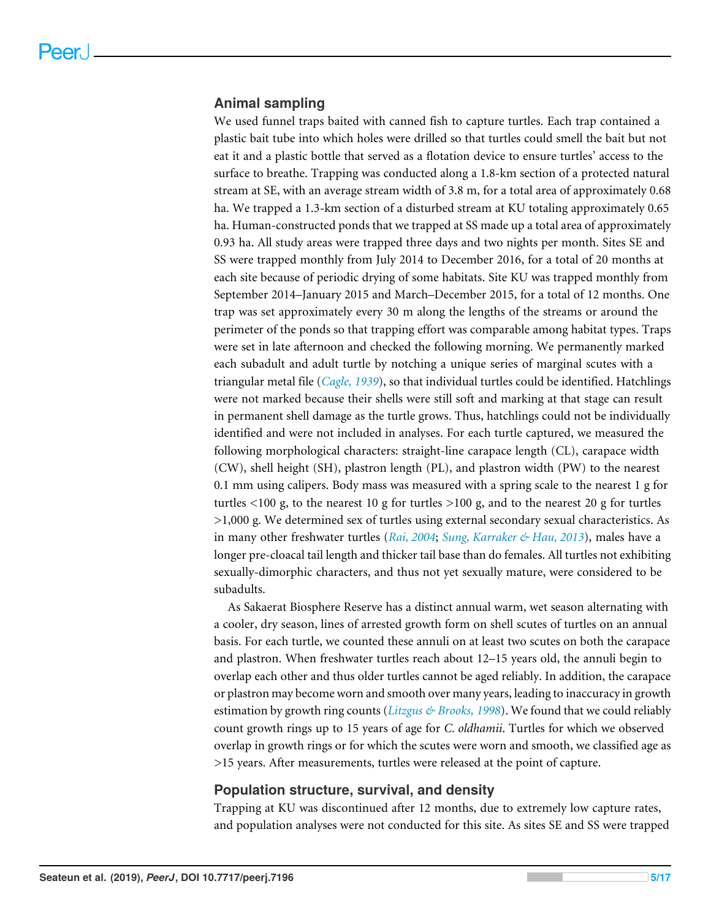#### **Animal sampling**

We used funnel traps baited with canned fish to capture turtles. Each trap contained a plastic bait tube into which holes were drilled so that turtles could smell the bait but not eat it and a plastic bottle that served as a flotation device to ensure turtles' access to the surface to breathe. Trapping was conducted along a 1.8-km section of a protected natural stream at SE, with an average stream width of 3.8 m, for a total area of approximately 0.68 ha. We trapped a 1.3-km section of a disturbed stream at KU totaling approximately 0.65 ha. Human-constructed ponds that we trapped at SS made up a total area of approximately 0.93 ha. All study areas were trapped three days and two nights per month. Sites SE and SS were trapped monthly from July 2014 to December 2016, for a total of 20 months at each site because of periodic drying of some habitats. Site KU was trapped monthly from September 2014–January 2015 and March–December 2015, for a total of 12 months. One trap was set approximately every 30 m along the lengths of the streams or around the perimeter of the ponds so that trapping effort was comparable among habitat types. Traps were set in late afternoon and checked the following morning. We permanently marked each subadult and adult turtle by notching a unique series of marginal scutes with a triangular metal file (*[Cagle, 1939](#page-15-11)*), so that individual turtles could be identified. Hatchlings were not marked because their shells were still soft and marking at that stage can result in permanent shell damage as the turtle grows. Thus, hatchlings could not be individually identified and were not included in analyses. For each turtle captured, we measured the following morphological characters: straight-line carapace length (CL), carapace width (CW), shell height (SH), plastron length (PL), and plastron width (PW) to the nearest 0.1 mm using calipers. Body mass was measured with a spring scale to the nearest 1 g for turtles  $\langle 100 \text{ g}$ , to the nearest 10 g for turtles  $>100 \text{ g}$ , and to the nearest 20 g for turtles >1,000 g. We determined sex of turtles using external secondary sexual characteristics. As in many other freshwater turtles (*[Rai, 2004](#page-16-6)*; *[Sung, Karraker & Hau, 2013](#page-17-4)*), males have a longer pre-cloacal tail length and thicker tail base than do females. All turtles not exhibiting sexually-dimorphic characters, and thus not yet sexually mature, were considered to be subadults.

As Sakaerat Biosphere Reserve has a distinct annual warm, wet season alternating with a cooler, dry season, lines of arrested growth form on shell scutes of turtles on an annual basis. For each turtle, we counted these annuli on at least two scutes on both the carapace and plastron. When freshwater turtles reach about 12–15 years old, the annuli begin to overlap each other and thus older turtles cannot be aged reliably. In addition, the carapace or plastron may become worn and smooth over many years, leading to inaccuracy in growth estimation by growth ring counts (*[Litzgus & Brooks, 1998](#page-16-7)*). We found that we could reliably count growth rings up to 15 years of age for *C. oldhamii*. Turtles for which we observed overlap in growth rings or for which the scutes were worn and smooth, we classified age as >15 years. After measurements, turtles were released at the point of capture.

#### **Population structure, survival, and density**

Trapping at KU was discontinued after 12 months, due to extremely low capture rates, and population analyses were not conducted for this site. As sites SE and SS were trapped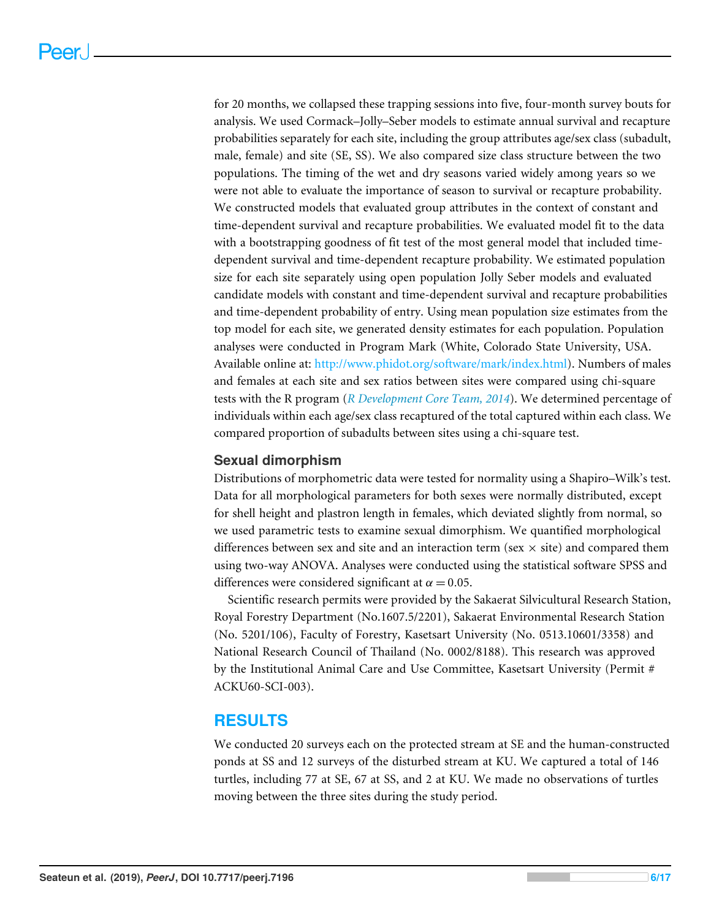for 20 months, we collapsed these trapping sessions into five, four-month survey bouts for analysis. We used Cormack–Jolly–Seber models to estimate annual survival and recapture probabilities separately for each site, including the group attributes age/sex class (subadult, male, female) and site (SE, SS). We also compared size class structure between the two populations. The timing of the wet and dry seasons varied widely among years so we were not able to evaluate the importance of season to survival or recapture probability. We constructed models that evaluated group attributes in the context of constant and time-dependent survival and recapture probabilities. We evaluated model fit to the data with a bootstrapping goodness of fit test of the most general model that included timedependent survival and time-dependent recapture probability. We estimated population size for each site separately using open population Jolly Seber models and evaluated candidate models with constant and time-dependent survival and recapture probabilities and time-dependent probability of entry. Using mean population size estimates from the top model for each site, we generated density estimates for each population. Population analyses were conducted in Program Mark (White, Colorado State University, USA. Available online at: [http://www.phidot.org/software/mark/index.html\)](http://www.phidot.org/software/mark/index.html). Numbers of males and females at each site and sex ratios between sites were compared using chi-square tests with the R program (*[R Development Core Team,](#page-16-8) [2014](#page-16-8)*). We determined percentage of individuals within each age/sex class recaptured of the total captured within each class. We compared proportion of subadults between sites using a chi-square test.

#### **Sexual dimorphism**

Distributions of morphometric data were tested for normality using a Shapiro–Wilk's test. Data for all morphological parameters for both sexes were normally distributed, except for shell height and plastron length in females, which deviated slightly from normal, so we used parametric tests to examine sexual dimorphism. We quantified morphological differences between sex and site and an interaction term (sex  $\times$  site) and compared them using two-way ANOVA. Analyses were conducted using the statistical software SPSS and differences were considered significant at  $\alpha = 0.05$ .

Scientific research permits were provided by the Sakaerat Silvicultural Research Station, Royal Forestry Department (No.1607.5/2201), Sakaerat Environmental Research Station (No. 5201/106), Faculty of Forestry, Kasetsart University (No. 0513.10601/3358) and National Research Council of Thailand (No. 0002/8188). This research was approved by the Institutional Animal Care and Use Committee, Kasetsart University (Permit # ACKU60-SCI-003).

#### **RESULTS**

We conducted 20 surveys each on the protected stream at SE and the human-constructed ponds at SS and 12 surveys of the disturbed stream at KU. We captured a total of 146 turtles, including 77 at SE, 67 at SS, and 2 at KU. We made no observations of turtles moving between the three sites during the study period.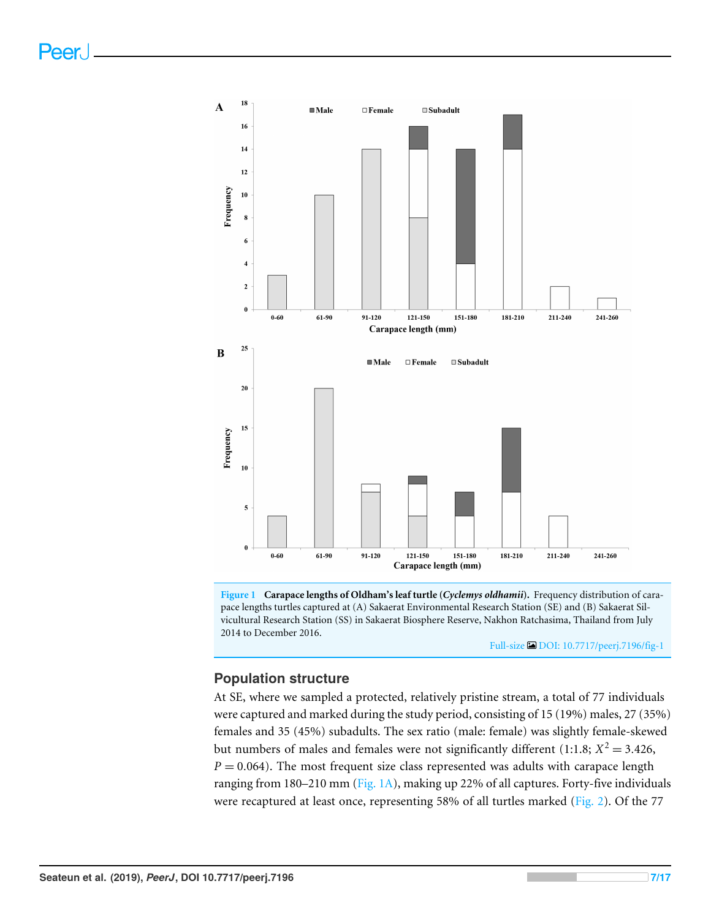<span id="page-7-0"></span>

**Figure 1 Carapace lengths of Oldham's leaf turtle (***Cyclemys oldhamii***).** Frequency distribution of carapace lengths turtles captured at (A) Sakaerat Environmental Research Station (SE) and (B) Sakaerat Silvicultural Research Station (SS) in Sakaerat Biosphere Reserve, Nakhon Ratchasima, Thailand from July 2014 to December 2016.

Full-size [DOI: 10.7717/peerj.7196/fig-1](https://doi.org/10.7717/peerj.7196/fig-1)

#### **Population structure**

At SE, where we sampled a protected, relatively pristine stream, a total of 77 individuals were captured and marked during the study period, consisting of 15 (19%) males, 27 (35%) females and 35 (45%) subadults. The sex ratio (male: female) was slightly female-skewed but numbers of males and females were not significantly different (1:1.8;  $X^2 = 3.426$ ,  $P = 0.064$ ). The most frequent size class represented was adults with carapace length ranging from 180–210 mm [\(Fig. 1A\)](#page-7-0), making up 22% of all captures. Forty-five individuals were recaptured at least once, representing 58% of all turtles marked [\(Fig. 2\)](#page-8-0). Of the 77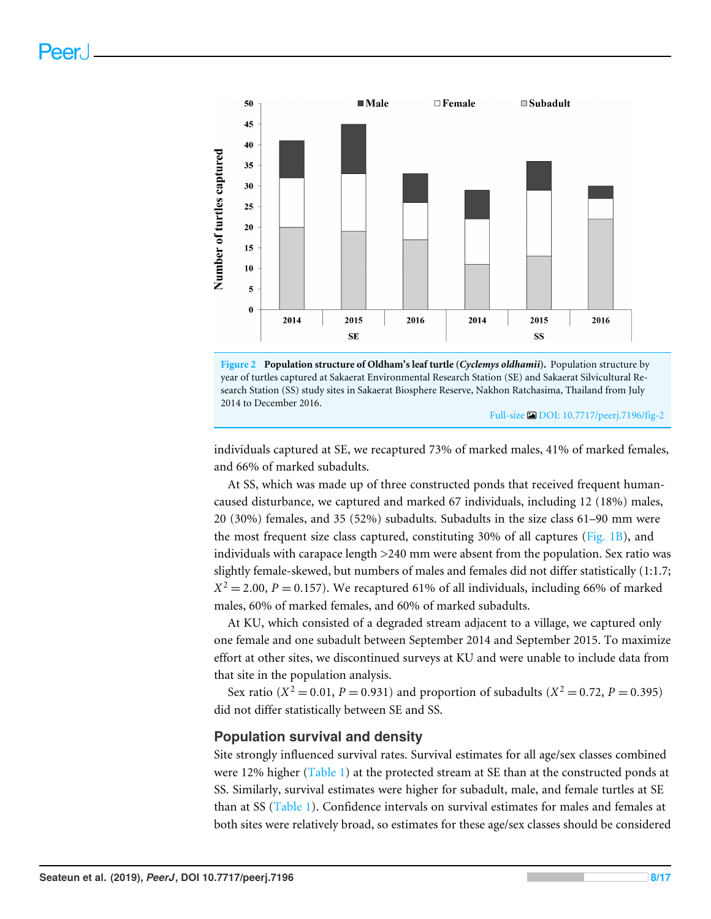<span id="page-8-0"></span>



Full-size [DOI: 10.7717/peerj.7196/fig-2](https://doi.org/10.7717/peerj.7196/fig-2)

individuals captured at SE, we recaptured 73% of marked males, 41% of marked females, and 66% of marked subadults.

At SS, which was made up of three constructed ponds that received frequent humancaused disturbance, we captured and marked 67 individuals, including 12 (18%) males, 20 (30%) females, and 35 (52%) subadults. Subadults in the size class 61–90 mm were the most frequent size class captured, constituting 30% of all captures [\(Fig. 1B\)](#page-7-0), and individuals with carapace length >240 mm were absent from the population. Sex ratio was slightly female-skewed, but numbers of males and females did not differ statistically (1:1.7;  $X^2 = 2.00$ ,  $P = 0.157$ ). We recaptured 61% of all individuals, including 66% of marked males, 60% of marked females, and 60% of marked subadults.

At KU, which consisted of a degraded stream adjacent to a village, we captured only one female and one subadult between September 2014 and September 2015. To maximize effort at other sites, we discontinued surveys at KU and were unable to include data from that site in the population analysis.

Sex ratio ( $X^2 = 0.01$ ,  $P = 0.931$ ) and proportion of subadults ( $X^2 = 0.72$ ,  $P = 0.395$ ) did not differ statistically between SE and SS.

#### **Population survival and density**

Site strongly influenced survival rates. Survival estimates for all age/sex classes combined were 12% higher [\(Table 1\)](#page-9-0) at the protected stream at SE than at the constructed ponds at SS. Similarly, survival estimates were higher for subadult, male, and female turtles at SE than at SS [\(Table 1\)](#page-9-0). Confidence intervals on survival estimates for males and females at both sites were relatively broad, so estimates for these age/sex classes should be considered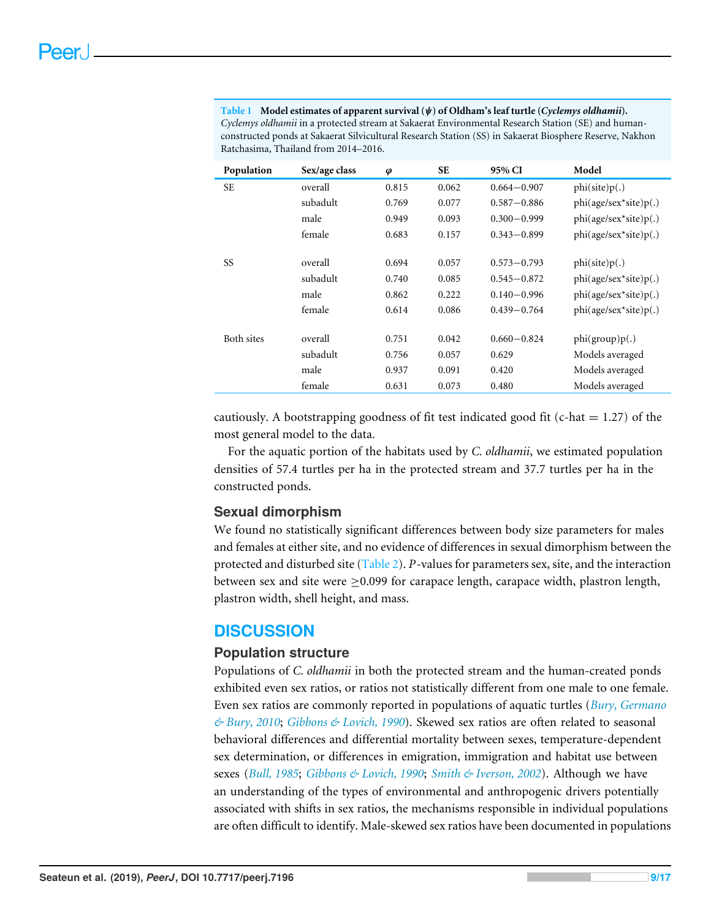<span id="page-9-0"></span>**Table 1 Model estimates of apparent survival (**ψ**) of Oldham's leaf turtle (***Cyclemys oldhamii***).** *Cyclemys oldhamii* in a protected stream at Sakaerat Environmental Research Station (SE) and humanconstructed ponds at Sakaerat Silvicultural Research Station (SS) in Sakaerat Biosphere Reserve, Nakhon Ratchasima, Thailand from 2014–2016.

| Population | Sex/age class | $\boldsymbol{\varphi}$ | <b>SE</b> | 95% CI          | Model                   |
|------------|---------------|------------------------|-----------|-----------------|-------------------------|
| <b>SE</b>  | overall       | 0.815                  | 0.062     | $0.664 - 0.907$ | phi(site)p(.)           |
|            | subadult      | 0.769                  | 0.077     | $0.587 - 0.886$ | $phi(age/sec*site)p(.)$ |
|            | male          | 0.949                  | 0.093     | $0.300 - 0.999$ | $phi(age/sec*site)p(.)$ |
|            | female        | 0.683                  | 0.157     | $0.343 - 0.899$ | $phi(age/sec*site)p(.)$ |
|            |               |                        |           |                 |                         |
| SS         | overall       | 0.694                  | 0.057     | $0.573 - 0.793$ | phi(site)p(.)           |
|            | subadult      | 0.740                  | 0.085     | $0.545 - 0.872$ | $phi(age/sec*site)p(.)$ |
|            | male          | 0.862                  | 0.222     | $0.140 - 0.996$ | $phi(age/sec*site)p(.)$ |
|            | female        | 0.614                  | 0.086     | $0.439 - 0.764$ | $phi(age/sec*site)p(.)$ |
|            |               |                        |           |                 |                         |
| Both sites | overall       | 0.751                  | 0.042     | $0.660 - 0.824$ | phi(group)p(.)          |
|            | subadult      | 0.756                  | 0.057     | 0.629           | Models averaged         |
|            | male          | 0.937                  | 0.091     | 0.420           | Models averaged         |
|            | female        | 0.631                  | 0.073     | 0.480           | Models averaged         |

cautiously. A bootstrapping goodness of fit test indicated good fit (c-hat  $= 1.27$ ) of the most general model to the data.

For the aquatic portion of the habitats used by *C. oldhamii*, we estimated population densities of 57.4 turtles per ha in the protected stream and 37.7 turtles per ha in the constructed ponds.

#### **Sexual dimorphism**

We found no statistically significant differences between body size parameters for males and females at either site, and no evidence of differences in sexual dimorphism between the protected and disturbed site [\(Table 2\)](#page-10-0). *P*-values for parameters sex, site, and the interaction between sex and site were ≥0.099 for carapace length, carapace width, plastron length, plastron width, shell height, and mass.

## **DISCUSSION**

#### **Population structure**

Populations of *C. oldhamii* in both the protected stream and the human-created ponds exhibited even sex ratios, or ratios not statistically different from one male to one female. Even sex ratios are commonly reported in populations of aquatic turtles (*[Bury, Germano](#page-15-6) [& Bury, 2010](#page-15-6)*; *[Gibbons & Lovich, 1990](#page-15-12)*). Skewed sex ratios are often related to seasonal behavioral differences and differential mortality between sexes, temperature-dependent sex determination, or differences in emigration, immigration and habitat use between sexes (*[Bull, 1985](#page-14-4)*; *[Gibbons & Lovich, 1990](#page-15-12)*; *[Smith & Iverson, 2002](#page-17-11)*). Although we have an understanding of the types of environmental and anthropogenic drivers potentially associated with shifts in sex ratios, the mechanisms responsible in individual populations are often difficult to identify. Male-skewed sex ratios have been documented in populations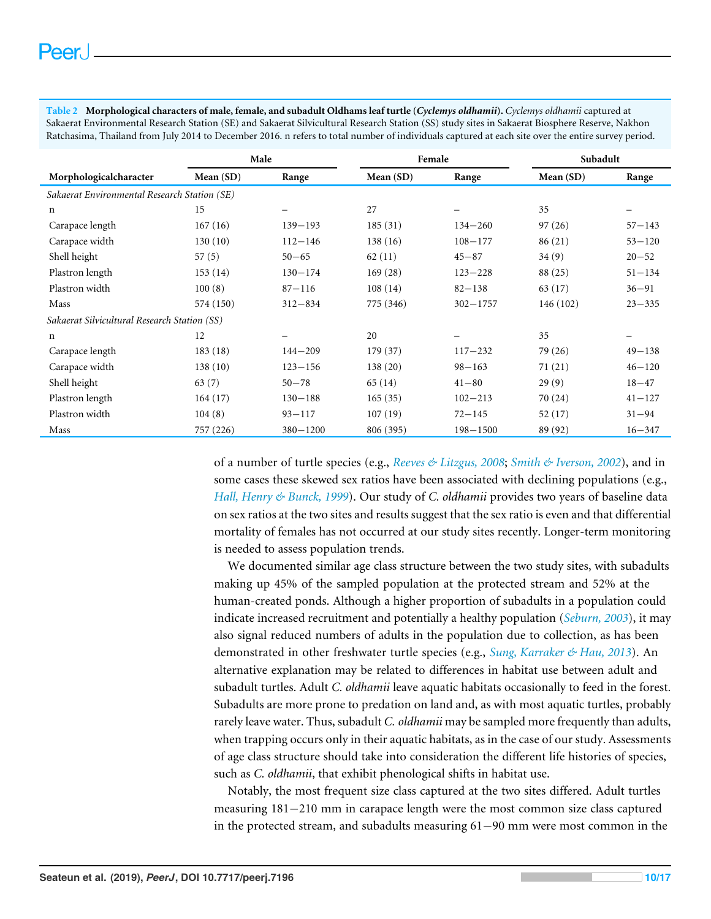<span id="page-10-0"></span>**Table 2 Morphological characters of male, female, and subadult Oldhams leaf turtle (***Cyclemys oldhamii***).** *Cyclemys oldhamii* captured at Sakaerat Environmental Research Station (SE) and Sakaerat Silvicultural Research Station (SS) study sites in Sakaerat Biosphere Reserve, Nakhon Ratchasima, Thailand from July 2014 to December 2016. n refers to total number of individuals captured at each site over the entire survey period.

|                                              | Male        |              | Female    |              | Subadult    |            |  |  |
|----------------------------------------------|-------------|--------------|-----------|--------------|-------------|------------|--|--|
| Morphologicalcharacter                       | Mean $(SD)$ | Range        | Mean (SD) | Range        | Mean $(SD)$ | Range      |  |  |
| Sakaerat Environmental Research Station (SE) |             |              |           |              |             |            |  |  |
| $\mathbf n$                                  | 15          |              | 27        |              | 35          |            |  |  |
| Carapace length                              | 167(16)     | $139 - 193$  | 185(31)   | $134 - 260$  | 97(26)      | $57 - 143$ |  |  |
| Carapace width                               | 130(10)     | $112 - 146$  | 138(16)   | $108 - 177$  | 86(21)      | $53 - 120$ |  |  |
| Shell height                                 | 57(5)       | $50 - 65$    | 62(11)    | $45 - 87$    | 34(9)       | $20 - 52$  |  |  |
| Plastron length                              | 153(14)     | $130 - 174$  | 169(28)   | $123 - 228$  | 88 (25)     | $51 - 134$ |  |  |
| Plastron width                               | 100(8)      | $87 - 116$   | 108(14)   | $82 - 138$   | 63 (17)     | $36 - 91$  |  |  |
| Mass                                         | 574 (150)   | $312 - 834$  | 775 (346) | $302 - 1757$ | 146 (102)   | $23 - 335$ |  |  |
| Sakaerat Silvicultural Research Station (SS) |             |              |           |              |             |            |  |  |
| n                                            | 12          |              | 20        |              | 35          |            |  |  |
| Carapace length                              | 183(18)     | $144 - 209$  | 179 (37)  | $117 - 232$  | 79 (26)     | $49 - 138$ |  |  |
| Carapace width                               | 138(10)     | $123 - 156$  | 138(20)   | $98 - 163$   | 71 $(21)$   | $46 - 120$ |  |  |
| Shell height                                 | 63(7)       | $50 - 78$    | 65(14)    | $41 - 80$    | 29(9)       | $18 - 47$  |  |  |
| Plastron length                              | 164(17)     | $130 - 188$  | 165(35)   | $102 - 213$  | 70(24)      | $41 - 127$ |  |  |
| Plastron width                               | 104(8)      | $93 - 117$   | 107(19)   | $72 - 145$   | 52(17)      | $31 - 94$  |  |  |
| Mass                                         | 757 (226)   | $380 - 1200$ | 806 (395) | $198 - 1500$ | 89 (92)     | $16 - 347$ |  |  |

of a number of turtle species (e.g., *[Reeves & Litzgus, 2008](#page-16-9)*; *[Smith & Iverson, 2002](#page-17-11)*), and in some cases these skewed sex ratios have been associated with declining populations (e.g., *[Hall, Henry & Bunck, 1999](#page-15-13)*). Our study of *C. oldhamii* provides two years of baseline data on sex ratios at the two sites and results suggest that the sex ratio is even and that differential mortality of females has not occurred at our study sites recently. Longer-term monitoring is needed to assess population trends.

We documented similar age class structure between the two study sites, with subadults making up 45% of the sampled population at the protected stream and 52% at the human-created ponds. Although a higher proportion of subadults in a population could indicate increased recruitment and potentially a healthy population (*[Seburn, 2003](#page-16-10)*), it may also signal reduced numbers of adults in the population due to collection, as has been demonstrated in other freshwater turtle species (e.g., *[Sung, Karraker & Hau, 2013](#page-17-4)*). An alternative explanation may be related to differences in habitat use between adult and subadult turtles. Adult *C. oldhamii* leave aquatic habitats occasionally to feed in the forest. Subadults are more prone to predation on land and, as with most aquatic turtles, probably rarely leave water. Thus, subadult *C. oldhamii* may be sampled more frequently than adults, when trapping occurs only in their aquatic habitats, as in the case of our study. Assessments of age class structure should take into consideration the different life histories of species, such as *C. oldhamii*, that exhibit phenological shifts in habitat use.

Notably, the most frequent size class captured at the two sites differed. Adult turtles measuring 181−210 mm in carapace length were the most common size class captured in the protected stream, and subadults measuring 61−90 mm were most common in the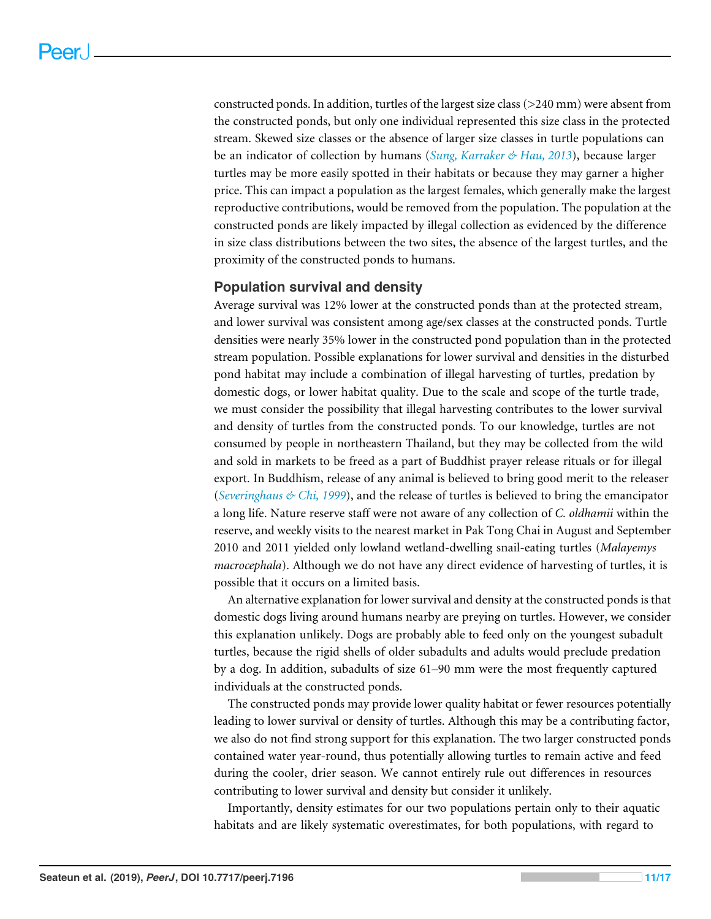constructed ponds. In addition, turtles of the largest size class ( $>$ 240 mm) were absent from the constructed ponds, but only one individual represented this size class in the protected stream. Skewed size classes or the absence of larger size classes in turtle populations can be an indicator of collection by humans (*[Sung, Karraker & Hau, 2013](#page-17-4)*), because larger turtles may be more easily spotted in their habitats or because they may garner a higher price. This can impact a population as the largest females, which generally make the largest reproductive contributions, would be removed from the population. The population at the constructed ponds are likely impacted by illegal collection as evidenced by the difference in size class distributions between the two sites, the absence of the largest turtles, and the proximity of the constructed ponds to humans.

#### **Population survival and density**

Average survival was 12% lower at the constructed ponds than at the protected stream, and lower survival was consistent among age/sex classes at the constructed ponds. Turtle densities were nearly 35% lower in the constructed pond population than in the protected stream population. Possible explanations for lower survival and densities in the disturbed pond habitat may include a combination of illegal harvesting of turtles, predation by domestic dogs, or lower habitat quality. Due to the scale and scope of the turtle trade, we must consider the possibility that illegal harvesting contributes to the lower survival and density of turtles from the constructed ponds. To our knowledge, turtles are not consumed by people in northeastern Thailand, but they may be collected from the wild and sold in markets to be freed as a part of Buddhist prayer release rituals or for illegal export. In Buddhism, release of any animal is believed to bring good merit to the releaser (*[Severinghaus & Chi, 1999](#page-16-11)*), and the release of turtles is believed to bring the emancipator a long life. Nature reserve staff were not aware of any collection of *C. oldhamii* within the reserve, and weekly visits to the nearest market in Pak Tong Chai in August and September 2010 and 2011 yielded only lowland wetland-dwelling snail-eating turtles (*Malayemys macrocephala*). Although we do not have any direct evidence of harvesting of turtles, it is possible that it occurs on a limited basis.

An alternative explanation for lower survival and density at the constructed ponds is that domestic dogs living around humans nearby are preying on turtles. However, we consider this explanation unlikely. Dogs are probably able to feed only on the youngest subadult turtles, because the rigid shells of older subadults and adults would preclude predation by a dog. In addition, subadults of size 61–90 mm were the most frequently captured individuals at the constructed ponds.

The constructed ponds may provide lower quality habitat or fewer resources potentially leading to lower survival or density of turtles. Although this may be a contributing factor, we also do not find strong support for this explanation. The two larger constructed ponds contained water year-round, thus potentially allowing turtles to remain active and feed during the cooler, drier season. We cannot entirely rule out differences in resources contributing to lower survival and density but consider it unlikely.

Importantly, density estimates for our two populations pertain only to their aquatic habitats and are likely systematic overestimates, for both populations, with regard to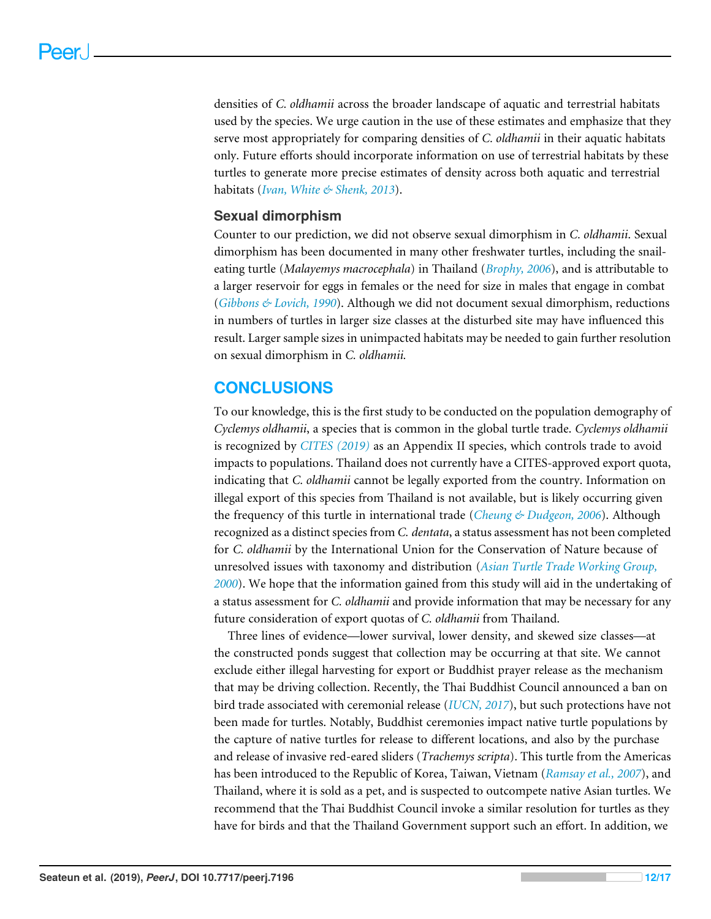densities of *C. oldhamii* across the broader landscape of aquatic and terrestrial habitats used by the species. We urge caution in the use of these estimates and emphasize that they serve most appropriately for comparing densities of *C. oldhamii* in their aquatic habitats only. Future efforts should incorporate information on use of terrestrial habitats by these turtles to generate more precise estimates of density across both aquatic and terrestrial habitats (*[Ivan, White & Shenk, 2013](#page-16-12)*).

#### **Sexual dimorphism**

Counter to our prediction, we did not observe sexual dimorphism in *C. oldhamii*. Sexual dimorphism has been documented in many other freshwater turtles, including the snaileating turtle (*Malayemys macrocephala*) in Thailand (*[Brophy, 2006](#page-14-2)*), and is attributable to a larger reservoir for eggs in females or the need for size in males that engage in combat (*[Gibbons & Lovich, 1990](#page-15-12)*). Although we did not document sexual dimorphism, reductions in numbers of turtles in larger size classes at the disturbed site may have influenced this result. Larger sample sizes in unimpacted habitats may be needed to gain further resolution on sexual dimorphism in *C. oldhamii.*

### **CONCLUSIONS**

To our knowledge, this is the first study to be conducted on the population demography of *Cyclemys oldhamii*, a species that is common in the global turtle trade. *Cyclemys oldhamii* is recognized by *[CITES](#page-15-14) [\(2019\)](#page-15-14)* as an Appendix II species, which controls trade to avoid impacts to populations. Thailand does not currently have a CITES-approved export quota, indicating that *C. oldhamii* cannot be legally exported from the country. Information on illegal export of this species from Thailand is not available, but is likely occurring given the frequency of this turtle in international trade (*[Cheung & Dudgeon, 2006](#page-15-7)*). Although recognized as a distinct species from *C. dentata*, a status assessment has not been completed for *C. oldhamii* by the International Union for the Conservation of Nature because of unresolved issues with taxonomy and distribution (*[Asian Turtle Trade Working Group,](#page-14-5) [2000](#page-14-5)*). We hope that the information gained from this study will aid in the undertaking of a status assessment for *C. oldhamii* and provide information that may be necessary for any future consideration of export quotas of *C. oldhamii* from Thailand.

Three lines of evidence—lower survival, lower density, and skewed size classes—at the constructed ponds suggest that collection may be occurring at that site. We cannot exclude either illegal harvesting for export or Buddhist prayer release as the mechanism that may be driving collection. Recently, the Thai Buddhist Council announced a ban on bird trade associated with ceremonial release (*[IUCN,](#page-16-13) [2017](#page-16-13)*), but such protections have not been made for turtles. Notably, Buddhist ceremonies impact native turtle populations by the capture of native turtles for release to different locations, and also by the purchase and release of invasive red-eared sliders (*Trachemys scripta*). This turtle from the Americas has been introduced to the Republic of Korea, Taiwan, Vietnam (*[Ramsay et al., 2007](#page-16-14)*), and Thailand, where it is sold as a pet, and is suspected to outcompete native Asian turtles. We recommend that the Thai Buddhist Council invoke a similar resolution for turtles as they have for birds and that the Thailand Government support such an effort. In addition, we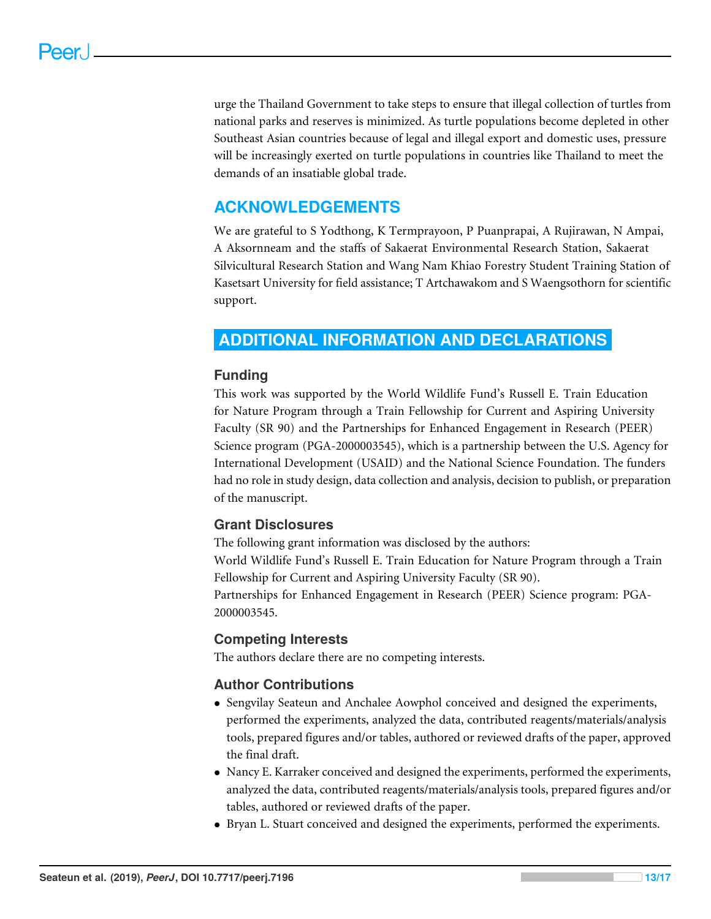urge the Thailand Government to take steps to ensure that illegal collection of turtles from national parks and reserves is minimized. As turtle populations become depleted in other Southeast Asian countries because of legal and illegal export and domestic uses, pressure will be increasingly exerted on turtle populations in countries like Thailand to meet the demands of an insatiable global trade.

# **ACKNOWLEDGEMENTS**

We are grateful to S Yodthong, K Termprayoon, P Puanprapai, A Rujirawan, N Ampai, A Aksornneam and the staffs of Sakaerat Environmental Research Station, Sakaerat Silvicultural Research Station and Wang Nam Khiao Forestry Student Training Station of Kasetsart University for field assistance; T Artchawakom and S Waengsothorn for scientific support.

# <span id="page-13-0"></span>**ADDITIONAL INFORMATION AND DECLARATIONS**

#### **Funding**

This work was supported by the World Wildlife Fund's Russell E. Train Education for Nature Program through a Train Fellowship for Current and Aspiring University Faculty (SR 90) and the Partnerships for Enhanced Engagement in Research (PEER) Science program (PGA-2000003545), which is a partnership between the U.S. Agency for International Development (USAID) and the National Science Foundation. The funders had no role in study design, data collection and analysis, decision to publish, or preparation of the manuscript.

## **Grant Disclosures**

The following grant information was disclosed by the authors:

World Wildlife Fund's Russell E. Train Education for Nature Program through a Train Fellowship for Current and Aspiring University Faculty (SR 90).

Partnerships for Enhanced Engagement in Research (PEER) Science program: PGA-2000003545.

#### **Competing Interests**

The authors declare there are no competing interests.

## **Author Contributions**

- [Sengvilay Seateun](#page-1-3) and [Anchalee Aowphol](#page-1-4) conceived and designed the experiments, performed the experiments, analyzed the data, contributed reagents/materials/analysis tools, prepared figures and/or tables, authored or reviewed drafts of the paper, approved the final draft.
- [Nancy E. Karraker](#page-1-5) conceived and designed the experiments, performed the experiments, analyzed the data, contributed reagents/materials/analysis tools, prepared figures and/or tables, authored or reviewed drafts of the paper.
- [Bryan L. Stuart](#page-1-6) conceived and designed the experiments, performed the experiments.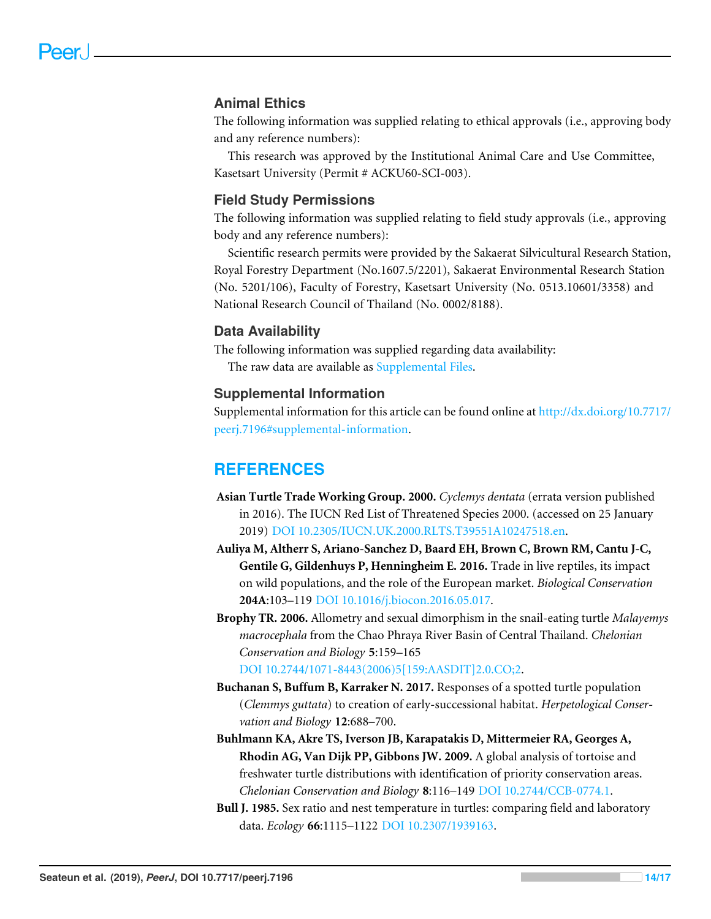#### **Animal Ethics**

The following information was supplied relating to ethical approvals (i.e., approving body and any reference numbers):

This research was approved by the Institutional Animal Care and Use Committee, Kasetsart University (Permit # ACKU60-SCI-003).

#### **Field Study Permissions**

The following information was supplied relating to field study approvals (i.e., approving body and any reference numbers):

Scientific research permits were provided by the Sakaerat Silvicultural Research Station, Royal Forestry Department (No.1607.5/2201), Sakaerat Environmental Research Station (No. 5201/106), Faculty of Forestry, Kasetsart University (No. 0513.10601/3358) and National Research Council of Thailand (No. 0002/8188).

#### **Data Availability**

The following information was supplied regarding data availability: The raw data are available as [Supplemental Files.](http://dx.doi.org/10.7717/peerj.7196#supplemental-information)

#### **Supplemental Information**

Supplemental information for this article can be found online at [http://dx.doi.org/10.7717/](http://dx.doi.org/10.7717/peerj.7196#supplemental-information) [peerj.7196#supplemental-information.](http://dx.doi.org/10.7717/peerj.7196#supplemental-information)

#### **REFERENCES**

- <span id="page-14-5"></span>**Asian Turtle Trade Working Group. 2000.** *Cyclemys dentata* (errata version published in 2016). The IUCN Red List of Threatened Species 2000. (accessed on 25 January 2019) [DOI 10.2305/IUCN.UK.2000.RLTS.T39551A10247518.en.](http://dx.doi.org/10.2305/IUCN.UK.2000.RLTS.T39551A10247518.en)
- <span id="page-14-1"></span>**Auliya M, Altherr S, Ariano-Sanchez D, Baard EH, Brown C, Brown RM, Cantu J-C, Gentile G, Gildenhuys P, Henningheim E. 2016.** Trade in live reptiles, its impact on wild populations, and the role of the European market. *Biological Conservation* **204A**:103–119 [DOI 10.1016/j.biocon.2016.05.017.](http://dx.doi.org/10.1016/j.biocon.2016.05.017)
- <span id="page-14-2"></span>**Brophy TR. 2006.** Allometry and sexual dimorphism in the snail-eating turtle *Malayemys macrocephala* from the Chao Phraya River Basin of Central Thailand. *Chelonian Conservation and Biology* **5**:159–165 [DOI 10.2744/1071-8443\(2006\)5\[159:AASDIT\]2.0.CO;2.](http://dx.doi.org/10.2744/1071-8443(2006)5[159:AASDIT]2.0.CO;2)

<span id="page-14-0"></span>**Buchanan S, Buffum B, Karraker N. 2017.** Responses of a spotted turtle population (*Clemmys guttata*) to creation of early-successional habitat. *Herpetological Conservation and Biology* **12**:688–700.

- <span id="page-14-3"></span>**Buhlmann KA, Akre TS, Iverson JB, Karapatakis D, Mittermeier RA, Georges A, Rhodin AG, Van Dijk PP, Gibbons JW. 2009.** A global analysis of tortoise and freshwater turtle distributions with identification of priority conservation areas. *Chelonian Conservation and Biology* **8**:116–149 [DOI 10.2744/CCB-0774.1.](http://dx.doi.org/10.2744/CCB-0774.1)
- <span id="page-14-4"></span>**Bull J. 1985.** Sex ratio and nest temperature in turtles: comparing field and laboratory data. *Ecology* **66**:1115–1122 [DOI 10.2307/1939163.](http://dx.doi.org/10.2307/1939163)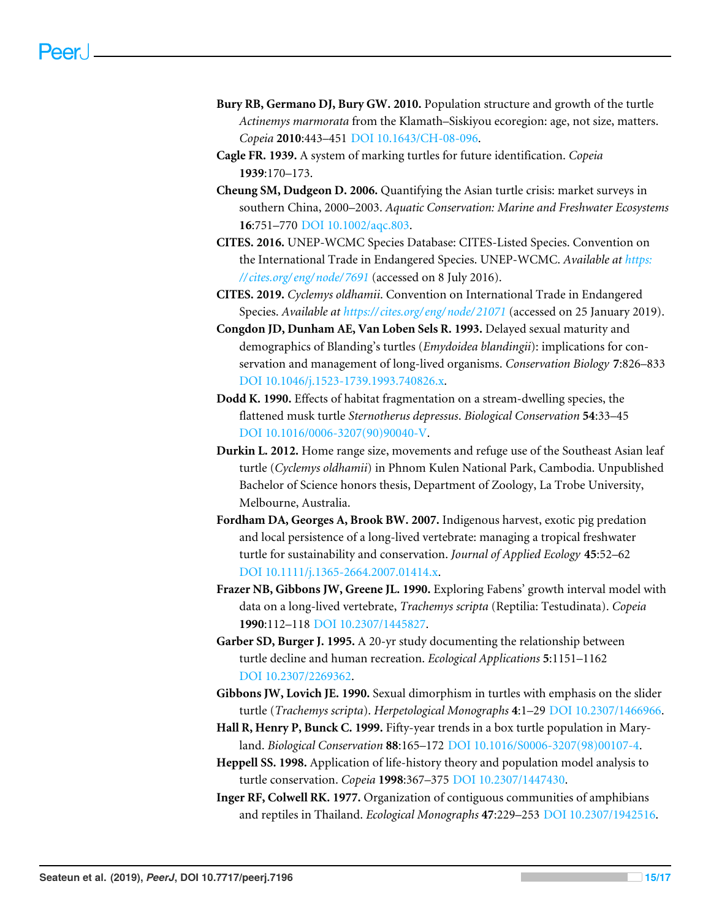- <span id="page-15-6"></span>**Bury RB, Germano DJ, Bury GW. 2010.** Population structure and growth of the turtle *Actinemys marmorata* from the Klamath–Siskiyou ecoregion: age, not size, matters. *Copeia* **2010**:443–451 [DOI 10.1643/CH-08-096.](http://dx.doi.org/10.1643/CH-08-096)
- <span id="page-15-11"></span>**Cagle FR. 1939.** A system of marking turtles for future identification. *Copeia* **1939**:170–173.
- <span id="page-15-7"></span>**Cheung SM, Dudgeon D. 2006.** Quantifying the Asian turtle crisis: market surveys in southern China, 2000–2003. *Aquatic Conservation: Marine and Freshwater Ecosystems* **16**:751–770 [DOI 10.1002/aqc.803.](http://dx.doi.org/10.1002/aqc.803)
- <span id="page-15-9"></span>**CITES. 2016.** UNEP-WCMC Species Database: CITES-Listed Species. Convention on the International Trade in Endangered Species. UNEP-WCMC. *Available at [https:](https://cites.org/eng/node/7691) [// cites.org/ eng/ node/ 7691](https://cites.org/eng/node/7691)* (accessed on 8 July 2016).
- <span id="page-15-14"></span>**CITES. 2019.** *Cyclemys oldhamii*. Convention on International Trade in Endangered Species. *Available at [https:// cites.org/ eng/ node/ 21071](https://cites.org/eng/node/21071)* (accessed on 25 January 2019).
- <span id="page-15-1"></span>**Congdon JD, Dunham AE, Van Loben Sels R. 1993.** Delayed sexual maturity and demographics of Blanding's turtles (*Emydoidea blandingii*): implications for conservation and management of long-lived organisms. *Conservation Biology* **7**:826–833 [DOI 10.1046/j.1523-1739.1993.740826.x.](http://dx.doi.org/10.1046/j.1523-1739.1993.740826.x)
- <span id="page-15-4"></span>**Dodd K. 1990.** Effects of habitat fragmentation on a stream-dwelling species, the flattened musk turtle *Sternotherus depressus*. *Biological Conservation* **54**:33–45 [DOI 10.1016/0006-3207\(90\)90040-V.](http://dx.doi.org/10.1016/0006-3207(90)90040-V)
- <span id="page-15-8"></span>**Durkin L. 2012.** Home range size, movements and refuge use of the Southeast Asian leaf turtle (*Cyclemys oldhamii*) in Phnom Kulen National Park, Cambodia. Unpublished Bachelor of Science honors thesis, Department of Zoology, La Trobe University, Melbourne, Australia.
- <span id="page-15-5"></span>**Fordham DA, Georges A, Brook BW. 2007.** Indigenous harvest, exotic pig predation and local persistence of a long-lived vertebrate: managing a tropical freshwater turtle for sustainability and conservation. *Journal of Applied Ecology* **45**:52–62 [DOI 10.1111/j.1365-2664.2007.01414.x.](http://dx.doi.org/10.1111/j.1365-2664.2007.01414.x)
- <span id="page-15-2"></span>**Frazer NB, Gibbons JW, Greene JL. 1990.** Exploring Fabens' growth interval model with data on a long-lived vertebrate, *Trachemys scripta* (Reptilia: Testudinata). *Copeia* **1990**:112–118 [DOI 10.2307/1445827.](http://dx.doi.org/10.2307/1445827)
- <span id="page-15-3"></span>**Garber SD, Burger J. 1995.** A 20-yr study documenting the relationship between turtle decline and human recreation. *Ecological Applications* **5**:1151–1162 [DOI 10.2307/2269362.](http://dx.doi.org/10.2307/2269362)
- <span id="page-15-12"></span>**Gibbons JW, Lovich JE. 1990.** Sexual dimorphism in turtles with emphasis on the slider turtle (*Trachemys scripta*). *Herpetological Monographs* **4**:1–29 [DOI 10.2307/1466966.](http://dx.doi.org/10.2307/1466966)
- <span id="page-15-13"></span>**Hall R, Henry P, Bunck C. 1999.** Fifty-year trends in a box turtle population in Maryland. *Biological Conservation* **88**:165–172 [DOI 10.1016/S0006-3207\(98\)00107-4.](http://dx.doi.org/10.1016/S0006-3207(98)00107-4)
- <span id="page-15-0"></span>**Heppell SS. 1998.** Application of life-history theory and population model analysis to turtle conservation. *Copeia* **1998**:367–375 [DOI 10.2307/1447430.](http://dx.doi.org/10.2307/1447430)
- <span id="page-15-10"></span>**Inger RF, Colwell RK. 1977.** Organization of contiguous communities of amphibians and reptiles in Thailand. *Ecological Monographs* **47**:229–253 [DOI 10.2307/1942516.](http://dx.doi.org/10.2307/1942516)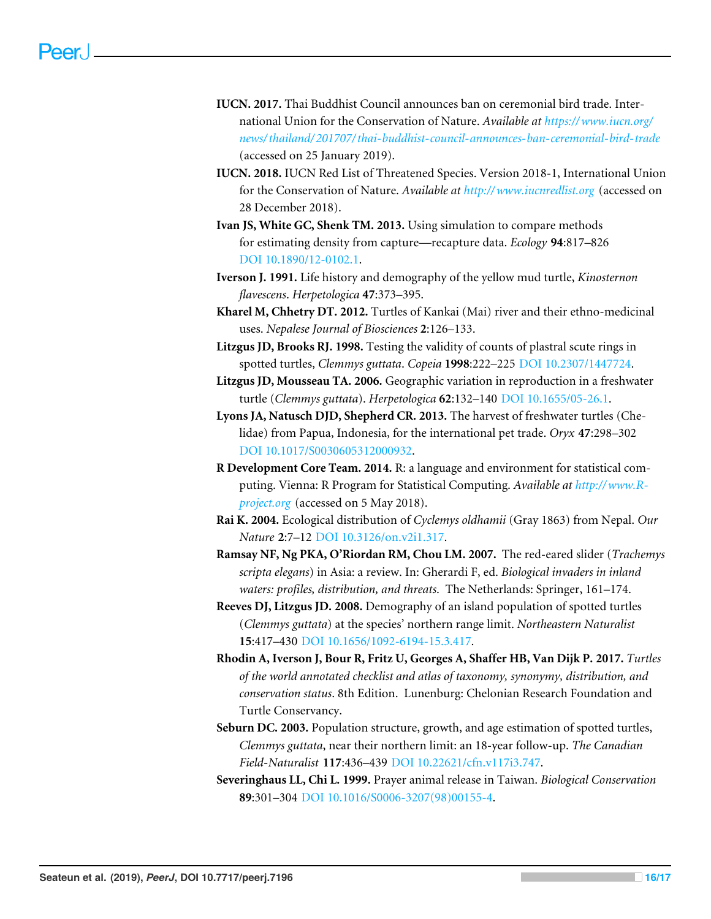- <span id="page-16-13"></span>**IUCN. 2017.** Thai Buddhist Council announces ban on ceremonial bird trade. International Union for the Conservation of Nature. *Available at [https://www.iucn.org/](https://www.iucn.org/news/thailand/201707/thai-buddhist-council-announces-ban-ceremonial-bird-trade) [news/thailand/ 201707/thai-buddhist-council-announces-ban-ceremonial-bird-trade](https://www.iucn.org/news/thailand/201707/thai-buddhist-council-announces-ban-ceremonial-bird-trade)* (accessed on 25 January 2019).
- <span id="page-16-4"></span>**IUCN. 2018.** IUCN Red List of Threatened Species. Version 2018-1, International Union for the Conservation of Nature. *Available at <http://www.iucnredlist.org>* (accessed on 28 December 2018).
- <span id="page-16-12"></span>**Ivan JS, White GC, Shenk TM. 2013.** Using simulation to compare methods for estimating density from capture—recapture data. *Ecology* **94**:817–826 [DOI 10.1890/12-0102.1.](http://dx.doi.org/10.1890/12-0102.1)
- <span id="page-16-0"></span>**Iverson J. 1991.** Life history and demography of the yellow mud turtle, *Kinosternon flavescens*. *Herpetologica* **47**:373–395.
- <span id="page-16-3"></span>**Kharel M, Chhetry DT. 2012.** Turtles of Kankai (Mai) river and their ethno-medicinal uses. *Nepalese Journal of Biosciences* **2**:126–133.
- <span id="page-16-7"></span>**Litzgus JD, Brooks RJ. 1998.** Testing the validity of counts of plastral scute rings in spotted turtles, *Clemmys guttata*. *Copeia* **1998**:222–225 [DOI 10.2307/1447724.](http://dx.doi.org/10.2307/1447724)
- <span id="page-16-1"></span>**Litzgus JD, Mousseau TA. 2006.** Geographic variation in reproduction in a freshwater turtle (*Clemmys guttata*). *Herpetologica* **62**:132–140 [DOI 10.1655/05-26.1.](http://dx.doi.org/10.1655/05-26.1)
- <span id="page-16-2"></span>**Lyons JA, Natusch DJD, Shepherd CR. 2013.** The harvest of freshwater turtles (Chelidae) from Papua, Indonesia, for the international pet trade. *Oryx* **47**:298–302 [DOI 10.1017/S0030605312000932.](http://dx.doi.org/10.1017/S0030605312000932)
- <span id="page-16-8"></span>**R Development Core Team. 2014.** R: a language and environment for statistical computing. Vienna: R Program for Statistical Computing. *Available at [http://www.R](http://www.R-project.org)[project.org](http://www.R-project.org)* (accessed on 5 May 2018).
- <span id="page-16-6"></span>**Rai K. 2004.** Ecological distribution of *Cyclemys oldhamii* (Gray 1863) from Nepal. *Our Nature* **2**:7–12 [DOI 10.3126/on.v2i1.317.](http://dx.doi.org/10.3126/on.v2i1.317)
- <span id="page-16-14"></span>**Ramsay NF, Ng PKA, O'Riordan RM, Chou LM. 2007.** The red-eared slider (*Trachemys scripta elegans*) in Asia: a review. In: Gherardi F, ed. *Biological invaders in inland waters: profiles, distribution, and threats*. The Netherlands: Springer, 161–174.
- <span id="page-16-9"></span>**Reeves DJ, Litzgus JD. 2008.** Demography of an island population of spotted turtles (*Clemmys guttata*) at the species' northern range limit. *Northeastern Naturalist* **15**:417–430 [DOI 10.1656/1092-6194-15.3.417.](http://dx.doi.org/10.1656/1092-6194-15.3.417)
- <span id="page-16-5"></span>**Rhodin A, Iverson J, Bour R, Fritz U, Georges A, Shaffer HB, Van Dijk P. 2017.** *Turtles of the world annotated checklist and atlas of taxonomy, synonymy, distribution, and conservation status*. 8th Edition. Lunenburg: Chelonian Research Foundation and Turtle Conservancy.
- <span id="page-16-10"></span>**Seburn DC. 2003.** Population structure, growth, and age estimation of spotted turtles, *Clemmys guttata*, near their northern limit: an 18-year follow-up. *The Canadian Field-Naturalist* **117**:436–439 [DOI 10.22621/cfn.v117i3.747.](http://dx.doi.org/10.22621/cfn.v117i3.747)
- <span id="page-16-11"></span>**Severinghaus LL, Chi L. 1999.** Prayer animal release in Taiwan. *Biological Conservation* **89**:301–304 [DOI 10.1016/S0006-3207\(98\)00155-4.](http://dx.doi.org/10.1016/S0006-3207(98)00155-4)